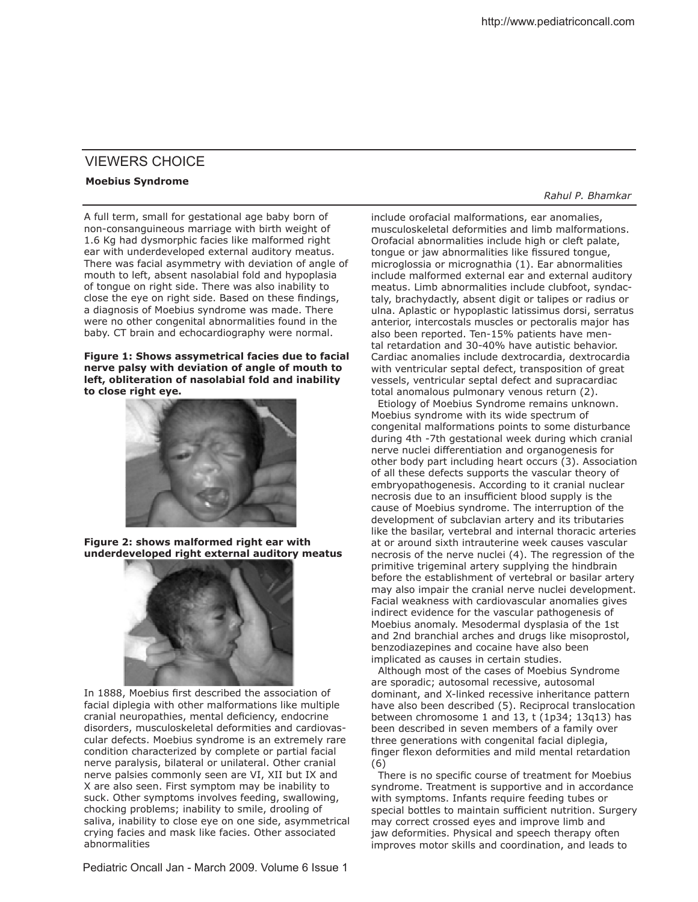## VIEWERS CHOICE

## **Moebius Syndrome**

A full term, small for gestational age baby born of non-consanguineous marriage with birth weight of 1.6 Kg had dysmorphic facies like malformed right ear with underdeveloped external auditory meatus. There was facial asymmetry with deviation of angle of mouth to left, absent nasolabial fold and hypoplasia of tongue on right side. There was also inability to close the eye on right side. Based on these findings, a diagnosis of Moebius syndrome was made. There were no other congenital abnormalities found in the baby. CT brain and echocardiography were normal.

## **Figure 1: Shows assymetrical facies due to facial nerve palsy with deviation of angle of mouth to left, obliteration of nasolabial fold and inability to close right eye.**



**Figure 2: shows malformed right ear with underdeveloped right external auditory meatus**



In 1888, Moebius first described the association of facial diplegia with other malformations like multiple cranial neuropathies, mental deficiency, endocrine disorders, musculoskeletal deformities and cardiovascular defects. Moebius syndrome is an extremely rare condition characterized by complete or partial facial nerve paralysis, bilateral or unilateral. Other cranial nerve palsies commonly seen are VI, XII but IX and X are also seen. First symptom may be inability to suck. Other symptoms involves feeding, swallowing, chocking problems; inability to smile, drooling of saliva, inability to close eye on one side, asymmetrical crying facies and mask like facies. Other associated abnormalities

*Rahul P. Bhamkar*

include orofacial malformations, ear anomalies, musculoskeletal deformities and limb malformations. Orofacial abnormalities include high or cleft palate, tongue or jaw abnormalities like fissured tongue, microglossia or micrognathia (1). Ear abnormalities include malformed external ear and external auditory meatus. Limb abnormalities include clubfoot, syndactaly, brachydactly, absent digit or talipes or radius or ulna. Aplastic or hypoplastic latissimus dorsi, serratus anterior, intercostals muscles or pectoralis major has also been reported. Ten-15% patients have mental retardation and 30-40% have autistic behavior. Cardiac anomalies include dextrocardia, dextrocardia with ventricular septal defect, transposition of great vessels, ventricular septal defect and supracardiac total anomalous pulmonary venous return (2).

Etiology of Moebius Syndrome remains unknown. Moebius syndrome with its wide spectrum of congenital malformations points to some disturbance during 4th -7th gestational week during which cranial nerve nuclei diferentiation and organogenesis for other body part including heart occurs (3). Association of all these defects supports the vascular theory of embryopathogenesis. According to it cranial nuclear necrosis due to an insufficient blood supply is the cause of Moebius syndrome. The interruption of the development of subclavian artery and its tributaries like the basilar, vertebral and internal thoracic arteries at or around sixth intrauterine week causes vascular necrosis of the nerve nuclei (4). The regression of the primitive trigeminal artery supplying the hindbrain before the establishment of vertebral or basilar artery may also impair the cranial nerve nuclei development. Facial weakness with cardiovascular anomalies gives indirect evidence for the vascular pathogenesis of Moebius anomaly. Mesodermal dysplasia of the 1st and 2nd branchial arches and drugs like misoprostol, benzodiazepines and cocaine have also been implicated as causes in certain studies.

 Although most of the cases of Moebius Syndrome are sporadic; autosomal recessive, autosomal dominant, and X-linked recessive inheritance pattern have also been described (5). Reciprocal translocation between chromosome 1 and 13, t (1p34; 13q13) has been described in seven members of a family over three generations with congenital facial diplegia, finger flexon deformities and mild mental retardation (6)

There is no specific course of treatment for Moebius syndrome. Treatment is supportive and in accordance with symptoms. Infants require feeding tubes or special bottles to maintain sufficient nutrition. Surgery may correct crossed eyes and improve limb and jaw deformities. Physical and speech therapy often improves motor skills and coordination, and leads to